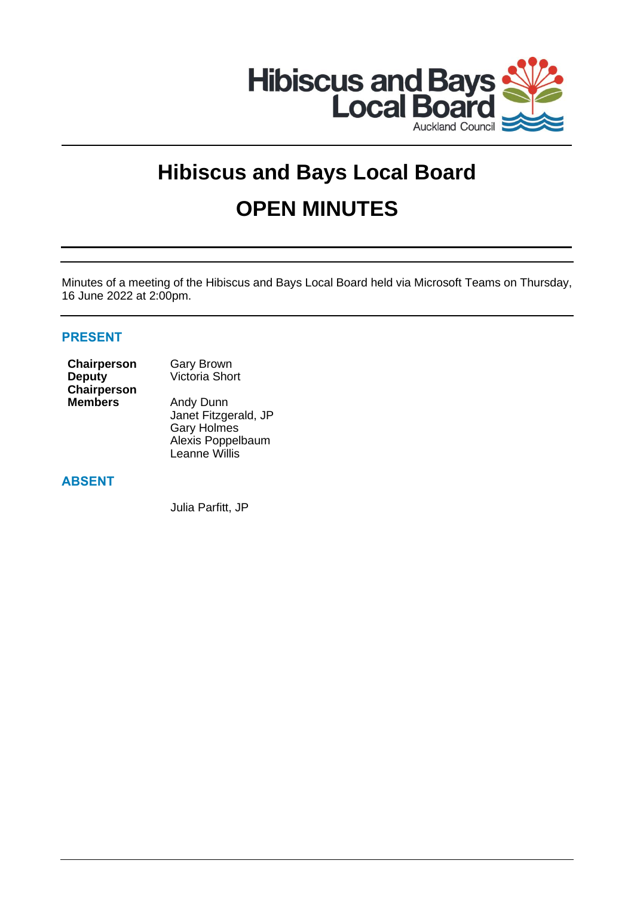

# **Hibiscus and Bays Local Board OPEN MINUTES**

Minutes of a meeting of the Hibiscus and Bays Local Board held via Microsoft Teams on Thursday, 16 June 2022 at 2:00pm.

# **PRESENT**

| Chairperson        |
|--------------------|
| Deputy             |
| <b>Chairperson</b> |
| Members            |

**Gary Brown** Victoria Short

**Andy Dunn** Janet Fitzgerald, JP Gary Holmes Alexis Poppelbaum Leanne Willis

# **ABSENT**

Julia Parfitt, JP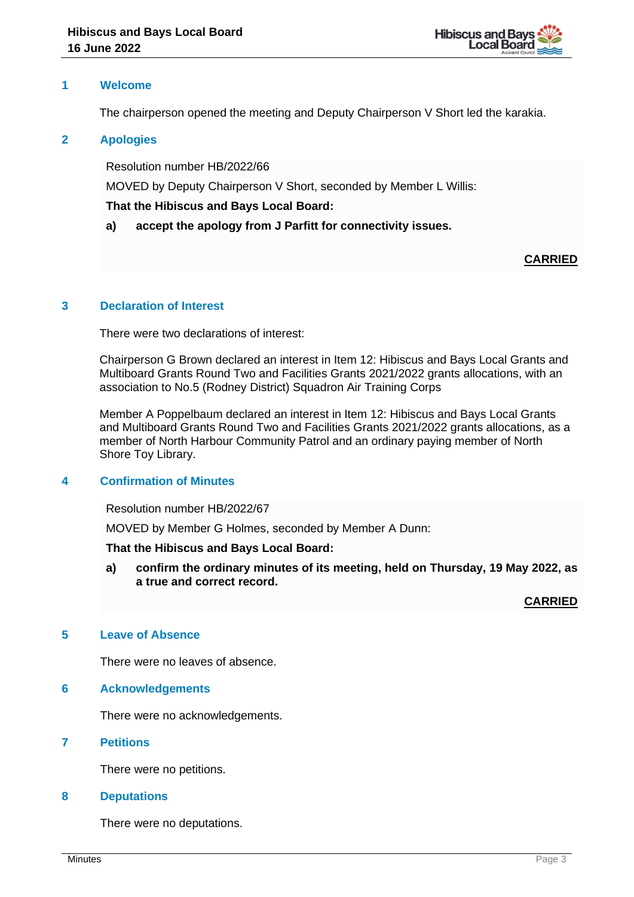

## **1 Welcome**

The chairperson opened the meeting and Deputy Chairperson V Short led the karakia.

## **2 Apologies**

Resolution number HB/2022/66

MOVED by Deputy Chairperson V Short, seconded by Member L Willis:

## **That the Hibiscus and Bays Local Board:**

**a) accept the apology from J Parfitt for connectivity issues.**

# **CARRIED**

## **3 Declaration of Interest**

There were two declarations of interest:

Chairperson G Brown declared an interest in Item 12: Hibiscus and Bays Local Grants and Multiboard Grants Round Two and Facilities Grants 2021/2022 grants allocations, with an association to No.5 (Rodney District) Squadron Air Training Corps

Member A Poppelbaum declared an interest in Item 12: Hibiscus and Bays Local Grants and Multiboard Grants Round Two and Facilities Grants 2021/2022 grants allocations, as a member of North Harbour Community Patrol and an ordinary paying member of North Shore Toy Library.

## **4 Confirmation of Minutes**

Resolution number HB/2022/67

MOVED by Member G Holmes, seconded by Member A Dunn:

#### **That the Hibiscus and Bays Local Board:**

**a) confirm the ordinary minutes of its meeting, held on Thursday, 19 May 2022, as a true and correct record.**

**CARRIED**

## **5 Leave of Absence**

There were no leaves of absence.

#### **6 Acknowledgements**

There were no acknowledgements.

## **7 Petitions**

There were no petitions.

#### **8 Deputations**

There were no deputations.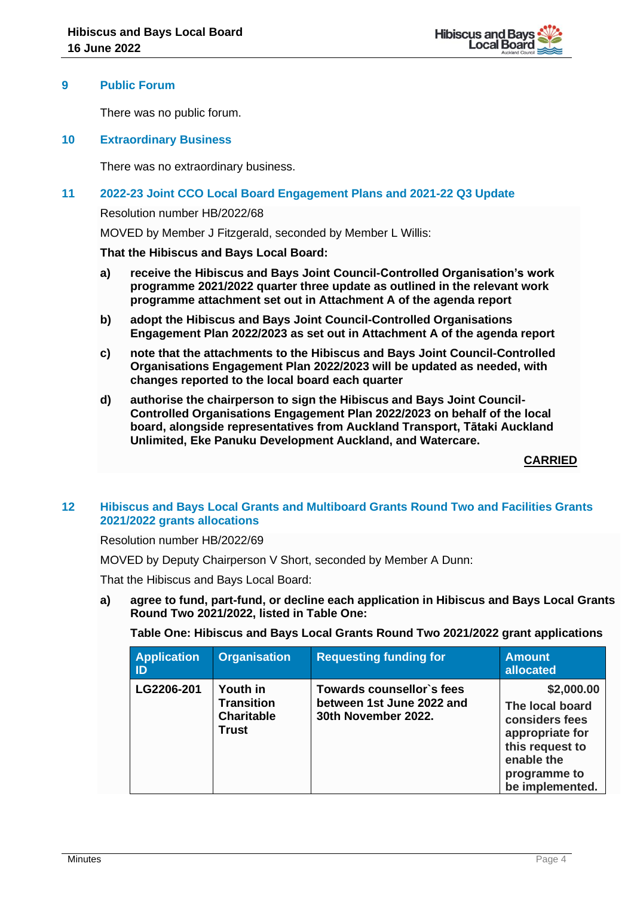

## **9 Public Forum**

There was no public forum.

## **10 Extraordinary Business**

There was no extraordinary business.

## **11 2022-23 Joint CCO Local Board Engagement Plans and 2021-22 Q3 Update**

Resolution number HB/2022/68

MOVED by Member J Fitzgerald, seconded by Member L Willis:

**That the Hibiscus and Bays Local Board:**

- **a) receive the Hibiscus and Bays Joint Council-Controlled Organisation's work programme 2021/2022 quarter three update as outlined in the relevant work programme attachment set out in Attachment A of the agenda report**
- **b) adopt the Hibiscus and Bays Joint Council-Controlled Organisations Engagement Plan 2022/2023 as set out in Attachment A of the agenda report**
- **c) note that the attachments to the Hibiscus and Bays Joint Council-Controlled Organisations Engagement Plan 2022/2023 will be updated as needed, with changes reported to the local board each quarter**
- **d) authorise the chairperson to sign the Hibiscus and Bays Joint Council-Controlled Organisations Engagement Plan 2022/2023 on behalf of the local board, alongside representatives from Auckland Transport, Tātaki Auckland Unlimited, Eke Panuku Development Auckland, and Watercare.**

**CARRIED**

## **12 Hibiscus and Bays Local Grants and Multiboard Grants Round Two and Facilities Grants 2021/2022 grants allocations**

Resolution number HB/2022/69

MOVED by Deputy Chairperson V Short, seconded by Member A Dunn:

That the Hibiscus and Bays Local Board:

**a) agree to fund, part-fund, or decline each application in Hibiscus and Bays Local Grants Round Two 2021/2022, listed in Table One:** 

#### **Table One: Hibiscus and Bays Local Grants Round Two 2021/2022 grant applications**

| <b>Application</b><br>ID | <b>Organisation</b>                                                       | <b>Requesting funding for</b>                                                 | <b>Amount</b><br>allocated                                                                                                             |
|--------------------------|---------------------------------------------------------------------------|-------------------------------------------------------------------------------|----------------------------------------------------------------------------------------------------------------------------------------|
| LG2206-201               | <b>Youth</b> in<br><b>Transition</b><br><b>Charitable</b><br><b>Trust</b> | Towards counsellor's fees<br>between 1st June 2022 and<br>30th November 2022. | \$2,000.00<br>The local board<br>considers fees<br>appropriate for<br>this request to<br>enable the<br>programme to<br>be implemented. |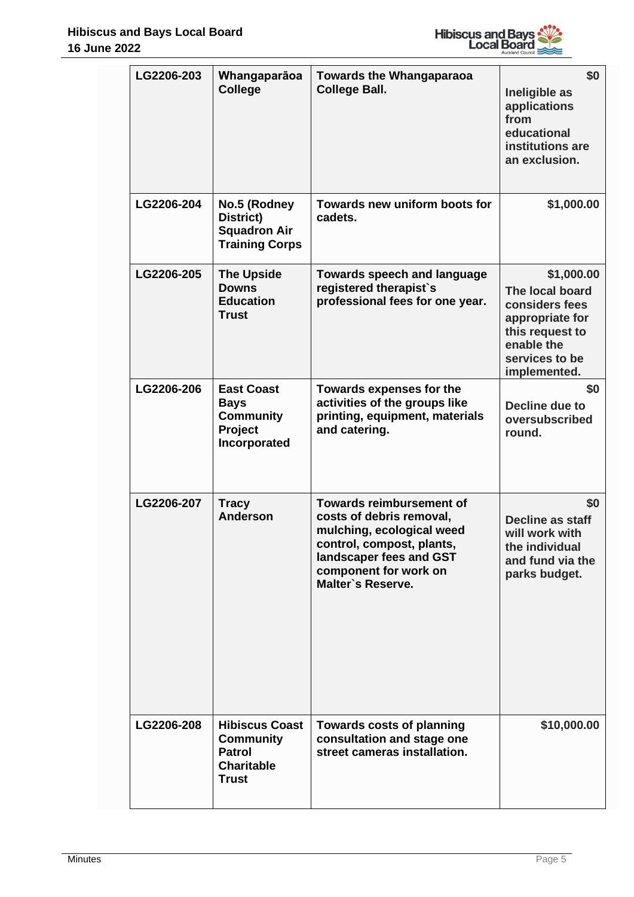

| LG2206-203 | Whangaparāoa<br><b>College</b>                                                                  | <b>Towards the Whangaparaoa</b><br><b>College Ball.</b>                                                                                                                                        | \$0<br>Ineligible as<br>applications<br>from<br>educational<br>institutions are<br>an exclusion.                                      |
|------------|-------------------------------------------------------------------------------------------------|------------------------------------------------------------------------------------------------------------------------------------------------------------------------------------------------|---------------------------------------------------------------------------------------------------------------------------------------|
| LG2206-204 | No.5 (Rodney<br>District)<br><b>Squadron Air</b><br><b>Training Corps</b>                       | Towards new uniform boots for<br>cadets.                                                                                                                                                       | \$1,000.00                                                                                                                            |
| LG2206-205 | <b>The Upside</b><br><b>Downs</b><br><b>Education</b><br><b>Trust</b>                           | <b>Towards speech and language</b><br>registered therapist's<br>professional fees for one year.                                                                                                | \$1,000.00<br>The local board<br>considers fees<br>appropriate for<br>this request to<br>enable the<br>services to be<br>implemented. |
| LG2206-206 | <b>East Coast</b><br><b>Bays</b><br><b>Community</b><br>Project<br>Incorporated                 | Towards expenses for the<br>activities of the groups like<br>printing, equipment, materials<br>and catering.                                                                                   | \$0<br>Decline due to<br>oversubscribed<br>round.                                                                                     |
| LG2206-207 | <b>Tracy</b><br><b>Anderson</b>                                                                 | <b>Towards reimbursement of</b><br>costs of debris removal,<br>mulching, ecological weed<br>control, compost, plants,<br>landscaper fees and GST<br>component for work on<br>Malter's Reserve. | \$0<br><b>Decline as staff</b><br>will work with<br>the individual<br>and fund via the<br>parks budget.                               |
| LG2206-208 | <b>Hibiscus Coast</b><br><b>Community</b><br><b>Patrol</b><br><b>Charitable</b><br><b>Trust</b> | <b>Towards costs of planning</b><br>consultation and stage one<br>street cameras installation.                                                                                                 | \$10,000.00                                                                                                                           |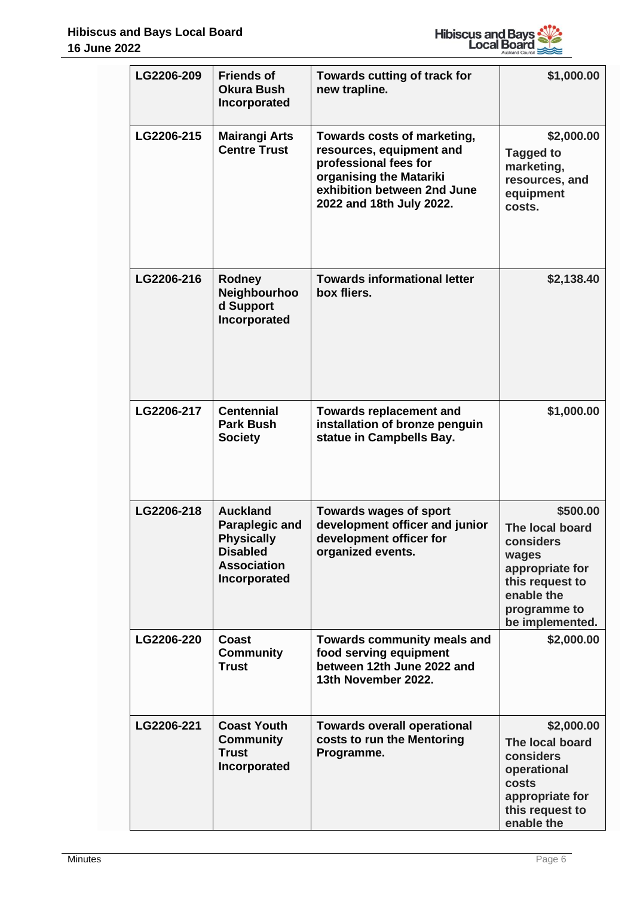

|  | LG2206-209 | <b>Friends of</b><br><b>Okura Bush</b><br>Incorporated                                                          | Towards cutting of track for<br>new trapline.                                                                                                                          | \$1,000.00                                                                                                                               |
|--|------------|-----------------------------------------------------------------------------------------------------------------|------------------------------------------------------------------------------------------------------------------------------------------------------------------------|------------------------------------------------------------------------------------------------------------------------------------------|
|  | LG2206-215 | <b>Mairangi Arts</b><br><b>Centre Trust</b>                                                                     | Towards costs of marketing,<br>resources, equipment and<br>professional fees for<br>organising the Matariki<br>exhibition between 2nd June<br>2022 and 18th July 2022. | \$2,000.00<br><b>Tagged to</b><br>marketing,<br>resources, and<br>equipment<br>costs.                                                    |
|  | LG2206-216 | Rodney<br>Neighbourhoo<br>d Support<br>Incorporated                                                             | <b>Towards informational letter</b><br>box fliers.                                                                                                                     | \$2,138.40                                                                                                                               |
|  | LG2206-217 | <b>Centennial</b><br><b>Park Bush</b><br><b>Society</b>                                                         | <b>Towards replacement and</b><br>installation of bronze penguin<br>statue in Campbells Bay.                                                                           | \$1,000.00                                                                                                                               |
|  | LG2206-218 | <b>Auckland</b><br>Paraplegic and<br><b>Physically</b><br><b>Disabled</b><br><b>Association</b><br>Incorporated | <b>Towards wages of sport</b><br>development officer and junior<br>development officer for<br>organized events.                                                        | \$500.00<br>The local board<br>considers<br>wages<br>appropriate for<br>this request to<br>enable the<br>programme to<br>be implemented. |
|  | LG2206-220 | Coast<br><b>Community</b><br><b>Trust</b>                                                                       | <b>Towards community meals and</b><br>food serving equipment<br>between 12th June 2022 and<br>13th November 2022.                                                      | \$2,000.00                                                                                                                               |
|  | LG2206-221 | <b>Coast Youth</b><br><b>Community</b><br><b>Trust</b><br>Incorporated                                          | <b>Towards overall operational</b><br>costs to run the Mentoring<br>Programme.                                                                                         | \$2,000.00<br>The local board<br>considers<br>operational<br>costs<br>appropriate for<br>this request to<br>enable the                   |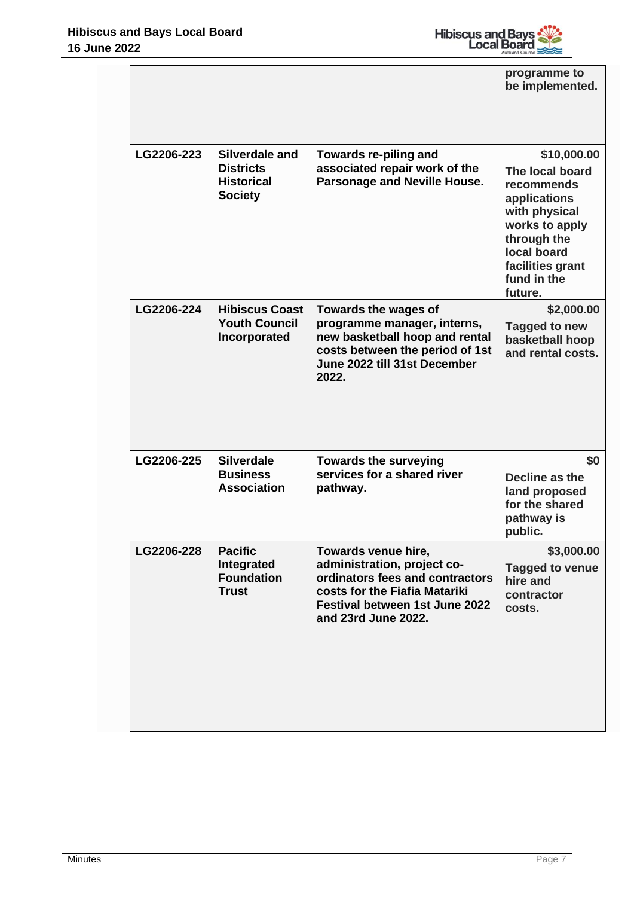

|  |            |                                                                           |                                                                                                                                                                                        | programme to<br>be implemented.                                                                                                                                             |
|--|------------|---------------------------------------------------------------------------|----------------------------------------------------------------------------------------------------------------------------------------------------------------------------------------|-----------------------------------------------------------------------------------------------------------------------------------------------------------------------------|
|  | LG2206-223 | Silverdale and<br><b>Districts</b><br><b>Historical</b><br><b>Society</b> | Towards re-piling and<br>associated repair work of the<br>Parsonage and Neville House.                                                                                                 | \$10,000.00<br>The local board<br>recommends<br>applications<br>with physical<br>works to apply<br>through the<br>local board<br>facilities grant<br>fund in the<br>future. |
|  | LG2206-224 | <b>Hibiscus Coast</b><br><b>Youth Council</b><br>Incorporated             | Towards the wages of<br>programme manager, interns,<br>new basketball hoop and rental<br>costs between the period of 1st<br>June 2022 till 31st December<br>2022.                      | \$2,000.00<br>Tagged to new<br>basketball hoop<br>and rental costs.                                                                                                         |
|  | LG2206-225 | <b>Silverdale</b><br><b>Business</b><br><b>Association</b>                | <b>Towards the surveying</b><br>services for a shared river<br>pathway.                                                                                                                | \$0<br>Decline as the<br>land proposed<br>for the shared<br>pathway is<br>public.                                                                                           |
|  | LG2206-228 | <b>Pacific</b><br>Integrated<br><b>Foundation</b><br><b>Trust</b>         | Towards venue hire,<br>administration, project co-<br>ordinators fees and contractors<br>costs for the Fiafia Matariki<br><b>Festival between 1st June 2022</b><br>and 23rd June 2022. | \$3,000.00<br><b>Tagged to venue</b><br>hire and<br>contractor<br>costs.                                                                                                    |

 $\mathbf{I}$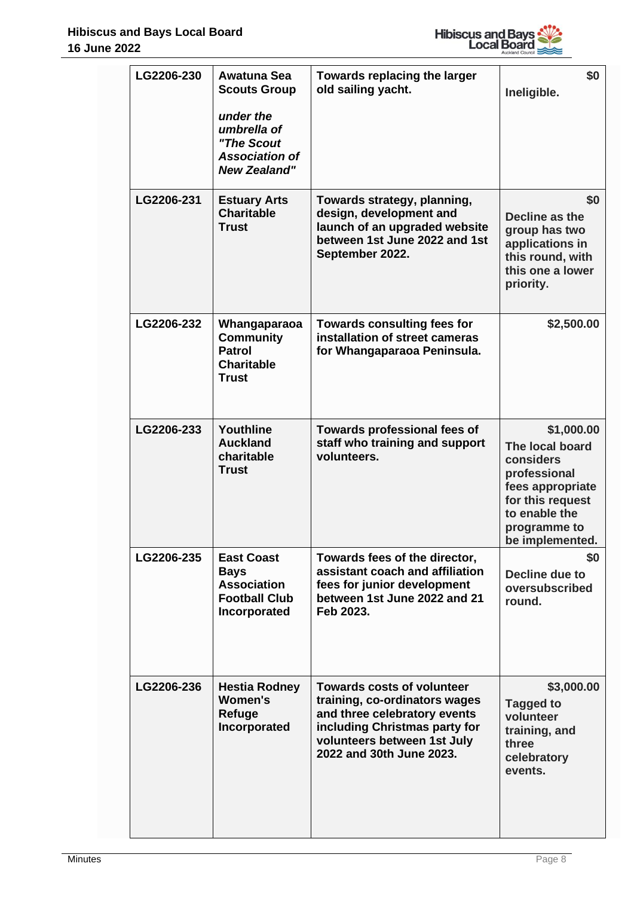

| LG2206-230 | Awatuna Sea<br><b>Scouts Group</b><br>under the<br>umbrella of<br>"The Scout<br><b>Association of</b><br><b>New Zealand"</b> | Towards replacing the larger<br>old sailing yacht.                                                                                                                                             | \$0<br>Ineligible.                                                                                                                                     |
|------------|------------------------------------------------------------------------------------------------------------------------------|------------------------------------------------------------------------------------------------------------------------------------------------------------------------------------------------|--------------------------------------------------------------------------------------------------------------------------------------------------------|
| LG2206-231 | <b>Estuary Arts</b><br><b>Charitable</b><br><b>Trust</b>                                                                     | Towards strategy, planning,<br>design, development and<br>launch of an upgraded website<br>between 1st June 2022 and 1st<br>September 2022.                                                    | \$0<br>Decline as the<br>group has two<br>applications in<br>this round, with<br>this one a lower<br>priority.                                         |
| LG2206-232 | Whangaparaoa<br><b>Community</b><br><b>Patrol</b><br><b>Charitable</b><br>Trust                                              | <b>Towards consulting fees for</b><br>installation of street cameras<br>for Whangaparaoa Peninsula.                                                                                            | \$2,500.00                                                                                                                                             |
| LG2206-233 | Youthline<br><b>Auckland</b><br>charitable<br><b>Trust</b>                                                                   | Towards professional fees of<br>staff who training and support<br>volunteers.                                                                                                                  | \$1,000.00<br>The local board<br>considers<br>professional<br>fees appropriate<br>for this request<br>to enable the<br>programme to<br>be implemented. |
| LG2206-235 | <b>East Coast</b><br><b>Bays</b><br><b>Association</b><br><b>Football Club</b><br>Incorporated                               | Towards fees of the director,<br>assistant coach and affiliation<br>fees for junior development<br>between 1st June 2022 and 21<br>Feb 2023.                                                   | \$0<br>Decline due to<br>oversubscribed<br>round.                                                                                                      |
| LG2206-236 | <b>Hestia Rodney</b><br><b>Women's</b><br>Refuge<br>Incorporated                                                             | <b>Towards costs of volunteer</b><br>training, co-ordinators wages<br>and three celebratory events<br>including Christmas party for<br>volunteers between 1st July<br>2022 and 30th June 2023. | \$3,000.00<br><b>Tagged to</b><br>volunteer<br>training, and<br>three<br>celebratory<br>events.                                                        |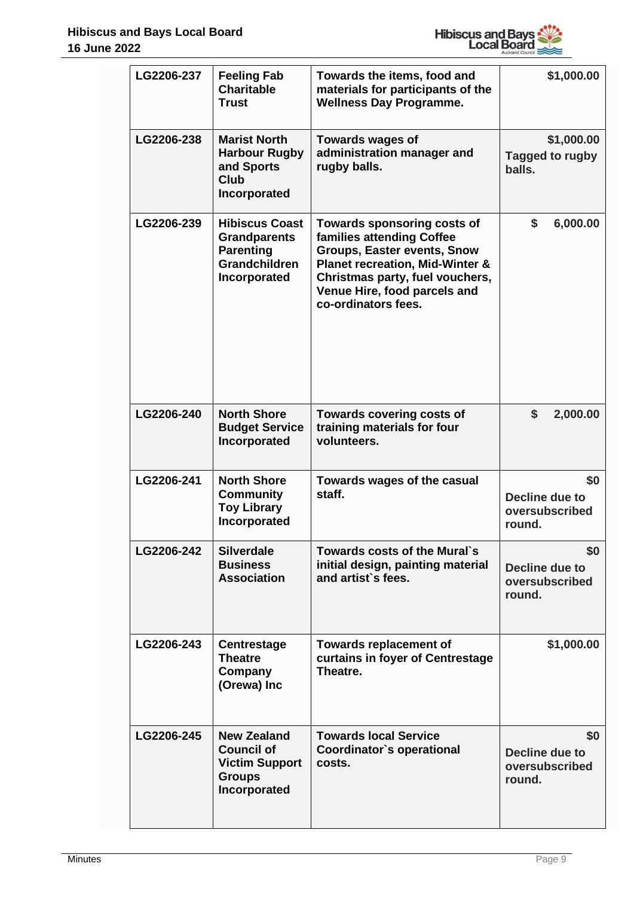

| LG2206-237 | <b>Feeling Fab</b><br><b>Charitable</b><br><b>Trust</b>                                                  | Towards the items, food and<br>materials for participants of the<br><b>Wellness Day Programme.</b>                                                                                                                                     | \$1,000.00                                        |
|------------|----------------------------------------------------------------------------------------------------------|----------------------------------------------------------------------------------------------------------------------------------------------------------------------------------------------------------------------------------------|---------------------------------------------------|
| LG2206-238 | <b>Marist North</b><br><b>Harbour Rugby</b><br>and Sports<br><b>Club</b><br>Incorporated                 | Towards wages of<br>administration manager and<br>rugby balls.                                                                                                                                                                         | \$1,000.00<br>Tagged to rugby<br>balls.           |
| LG2206-239 | <b>Hibiscus Coast</b><br><b>Grandparents</b><br><b>Parenting</b><br><b>Grandchildren</b><br>Incorporated | Towards sponsoring costs of<br>families attending Coffee<br><b>Groups, Easter events, Snow</b><br><b>Planet recreation, Mid-Winter &amp;</b><br>Christmas party, fuel vouchers,<br>Venue Hire, food parcels and<br>co-ordinators fees. | \$<br>6,000.00                                    |
| LG2206-240 | <b>North Shore</b><br><b>Budget Service</b><br>Incorporated                                              | <b>Towards covering costs of</b><br>training materials for four<br>volunteers.                                                                                                                                                         | \$<br>2,000.00                                    |
| LG2206-241 | <b>North Shore</b><br><b>Community</b><br><b>Toy Library</b><br>Incorporated                             | Towards wages of the casual<br>staff.                                                                                                                                                                                                  | \$0<br>Decline due to<br>oversubscribed<br>round. |
| LG2206-242 | <b>Silverdale</b><br><b>Business</b><br><b>Association</b>                                               | Towards costs of the Mural's<br>initial design, painting material<br>and artist's fees.                                                                                                                                                | \$0<br>Decline due to<br>oversubscribed<br>round. |
| LG2206-243 | <b>Centrestage</b><br><b>Theatre</b><br>Company<br>(Orewa) Inc                                           | <b>Towards replacement of</b><br>curtains in foyer of Centrestage<br>Theatre.                                                                                                                                                          | \$1,000.00                                        |
| LG2206-245 | <b>New Zealand</b><br><b>Council of</b><br><b>Victim Support</b><br><b>Groups</b><br>Incorporated        | <b>Towards local Service</b><br>Coordinator's operational<br>costs.                                                                                                                                                                    | \$0<br>Decline due to<br>oversubscribed<br>round. |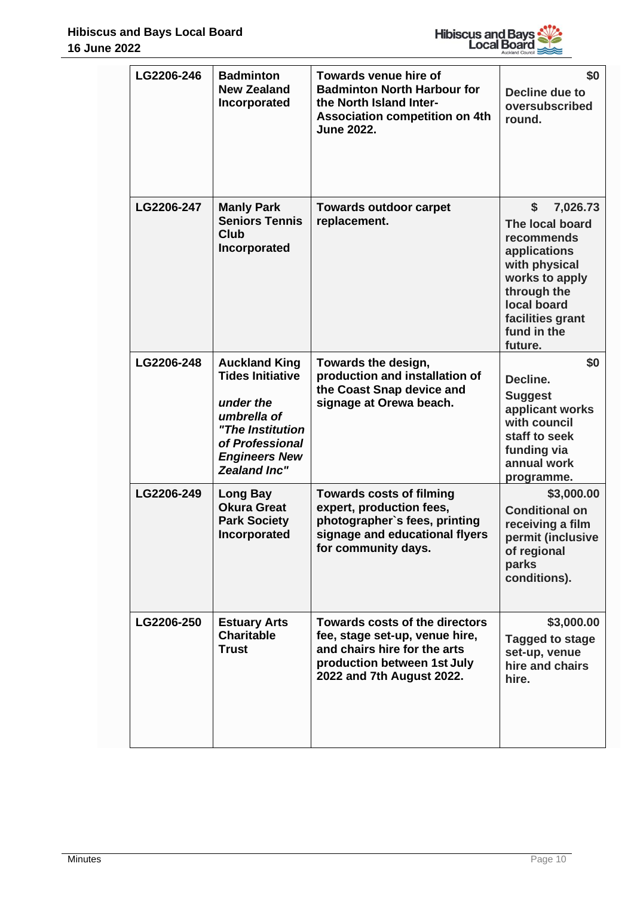

| LG2206-246 | <b>Badminton</b><br><b>New Zealand</b><br>Incorporated                                                                                                            | <b>Towards venue hire of</b><br><b>Badminton North Harbour for</b><br>the North Island Inter-<br><b>Association competition on 4th</b><br><b>June 2022.</b>         | \$0<br>Decline due to<br>oversubscribed<br>round.                                                                                                                              |
|------------|-------------------------------------------------------------------------------------------------------------------------------------------------------------------|---------------------------------------------------------------------------------------------------------------------------------------------------------------------|--------------------------------------------------------------------------------------------------------------------------------------------------------------------------------|
| LG2206-247 | <b>Manly Park</b><br><b>Seniors Tennis</b><br><b>Club</b><br>Incorporated                                                                                         | <b>Towards outdoor carpet</b><br>replacement.                                                                                                                       | \$<br>7,026.73<br>The local board<br>recommends<br>applications<br>with physical<br>works to apply<br>through the<br>local board<br>facilities grant<br>fund in the<br>future. |
| LG2206-248 | <b>Auckland King</b><br><b>Tides Initiative</b><br>under the<br>umbrella of<br>"The Institution<br>of Professional<br><b>Engineers New</b><br><b>Zealand Inc"</b> | Towards the design,<br>production and installation of<br>the Coast Snap device and<br>signage at Orewa beach.                                                       | \$0<br>Decline.<br><b>Suggest</b><br>applicant works<br>with council<br>staff to seek<br>funding via<br>annual work<br>programme.                                              |
| LG2206-249 | <b>Long Bay</b><br><b>Okura Great</b><br><b>Park Society</b><br>Incorporated                                                                                      | <b>Towards costs of filming</b><br>expert, production fees,<br>photographer's fees, printing<br>signage and educational flyers<br>for community days.               | \$3,000.00<br><b>Conditional on</b><br>receiving a film<br>permit (inclusive<br>of regional<br>parks<br>conditions).                                                           |
| LG2206-250 | <b>Estuary Arts</b><br><b>Charitable</b><br><b>Trust</b>                                                                                                          | <b>Towards costs of the directors</b><br>fee, stage set-up, venue hire,<br>and chairs hire for the arts<br>production between 1st July<br>2022 and 7th August 2022. | \$3,000.00<br><b>Tagged to stage</b><br>set-up, venue<br>hire and chairs<br>hire.                                                                                              |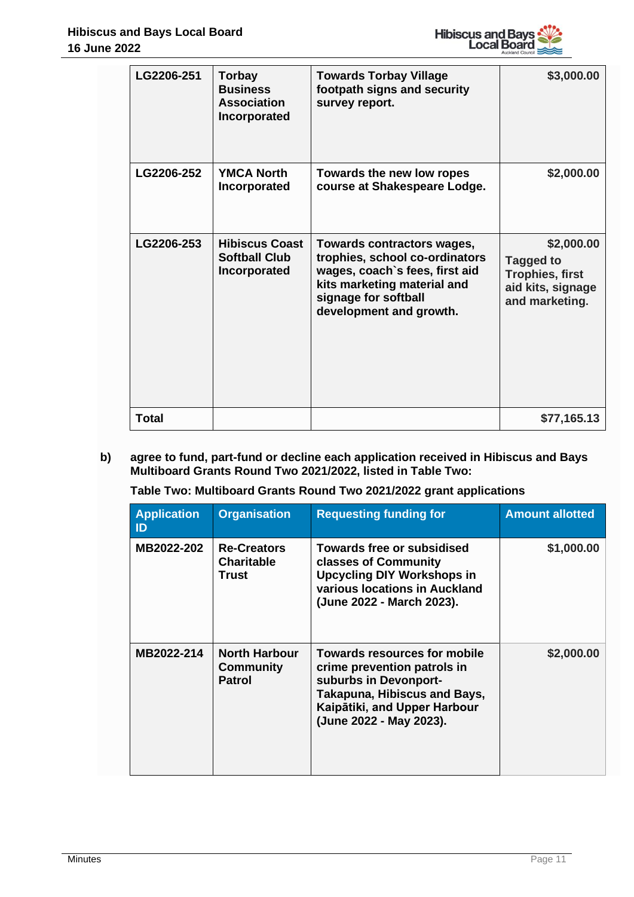

|  | LG2206-251   | Torbay<br><b>Business</b><br><b>Association</b><br>Incorporated | <b>Towards Torbay Village</b><br>footpath signs and security<br>survey report.                                                                                                   | \$3,000.00                                                                                      |
|--|--------------|-----------------------------------------------------------------|----------------------------------------------------------------------------------------------------------------------------------------------------------------------------------|-------------------------------------------------------------------------------------------------|
|  | LG2206-252   | <b>YMCA North</b><br>Incorporated                               | Towards the new low ropes<br>course at Shakespeare Lodge.                                                                                                                        | \$2,000.00                                                                                      |
|  | LG2206-253   | <b>Hibiscus Coast</b><br><b>Softball Club</b><br>Incorporated   | Towards contractors wages,<br>trophies, school co-ordinators<br>wages, coach's fees, first aid<br>kits marketing material and<br>signage for softball<br>development and growth. | \$2,000.00<br><b>Tagged to</b><br><b>Trophies, first</b><br>aid kits, signage<br>and marketing. |
|  | <b>Total</b> |                                                                 |                                                                                                                                                                                  | \$77,165.13                                                                                     |

**b) agree to fund, part-fund or decline each application received in Hibiscus and Bays Multiboard Grants Round Two 2021/2022, listed in Table Two:**

# **Table Two: Multiboard Grants Round Two 2021/2022 grant applications**

| <b>Application</b><br>ID | <b>Organisation</b>                                       | <b>Requesting funding for</b>                                                                                                                                                          | <b>Amount allotted</b> |
|--------------------------|-----------------------------------------------------------|----------------------------------------------------------------------------------------------------------------------------------------------------------------------------------------|------------------------|
| MB2022-202               | <b>Re-Creators</b><br><b>Charitable</b><br>Trust          | <b>Towards free or subsidised</b><br>classes of Community<br><b>Upcycling DIY Workshops in</b><br>various locations in Auckland<br>(June 2022 - March 2023).                           | \$1,000.00             |
| MB2022-214               | <b>North Harbour</b><br><b>Community</b><br><b>Patrol</b> | Towards resources for mobile<br>crime prevention patrols in<br>suburbs in Devonport-<br><b>Takapuna, Hibiscus and Bays,</b><br>Kaipātiki, and Upper Harbour<br>(June 2022 - May 2023). | \$2,000.00             |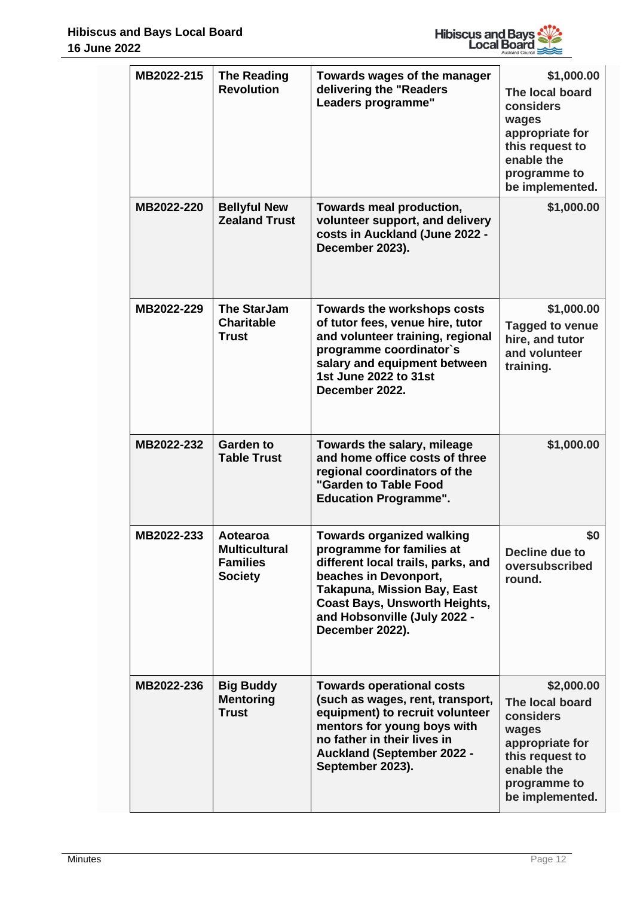

|  | MB2022-215 | <b>The Reading</b><br><b>Revolution</b>                               | Towards wages of the manager<br>delivering the "Readers<br>Leaders programme"                                                                                                                                                                                 | \$1,000.00<br>The local board<br>considers<br>wages<br>appropriate for<br>this request to<br>enable the<br>programme to<br>be implemented. |
|--|------------|-----------------------------------------------------------------------|---------------------------------------------------------------------------------------------------------------------------------------------------------------------------------------------------------------------------------------------------------------|--------------------------------------------------------------------------------------------------------------------------------------------|
|  | MB2022-220 | <b>Bellyful New</b><br><b>Zealand Trust</b>                           | Towards meal production,<br>volunteer support, and delivery<br>costs in Auckland (June 2022 -<br>December 2023).                                                                                                                                              | \$1,000.00                                                                                                                                 |
|  | MB2022-229 | <b>The StarJam</b><br><b>Charitable</b><br><b>Trust</b>               | Towards the workshops costs<br>of tutor fees, venue hire, tutor<br>and volunteer training, regional<br>programme coordinator's<br>salary and equipment between<br>1st June 2022 to 31st<br>December 2022.                                                     | \$1,000.00<br><b>Tagged to venue</b><br>hire, and tutor<br>and volunteer<br>training.                                                      |
|  | MB2022-232 | <b>Garden to</b><br><b>Table Trust</b>                                | Towards the salary, mileage<br>and home office costs of three<br>regional coordinators of the<br>"Garden to Table Food<br><b>Education Programme".</b>                                                                                                        | \$1,000.00                                                                                                                                 |
|  | MB2022-233 | Aotearoa<br><b>Multicultural</b><br><b>Families</b><br><b>Society</b> | <b>Towards organized walking</b><br>programme for families at<br>different local trails, parks, and<br>beaches in Devonport,<br><b>Takapuna, Mission Bay, East</b><br><b>Coast Bays, Unsworth Heights,</b><br>and Hobsonville (July 2022 -<br>December 2022). | \$0<br>Decline due to<br>oversubscribed<br>round.                                                                                          |
|  | MB2022-236 | <b>Big Buddy</b><br><b>Mentoring</b><br><b>Trust</b>                  | <b>Towards operational costs</b><br>(such as wages, rent, transport,<br>equipment) to recruit volunteer<br>mentors for young boys with<br>no father in their lives in<br><b>Auckland (September 2022 -</b><br>September 2023).                                | \$2,000.00<br>The local board<br>considers<br>wages<br>appropriate for<br>this request to<br>enable the<br>programme to<br>be implemented. |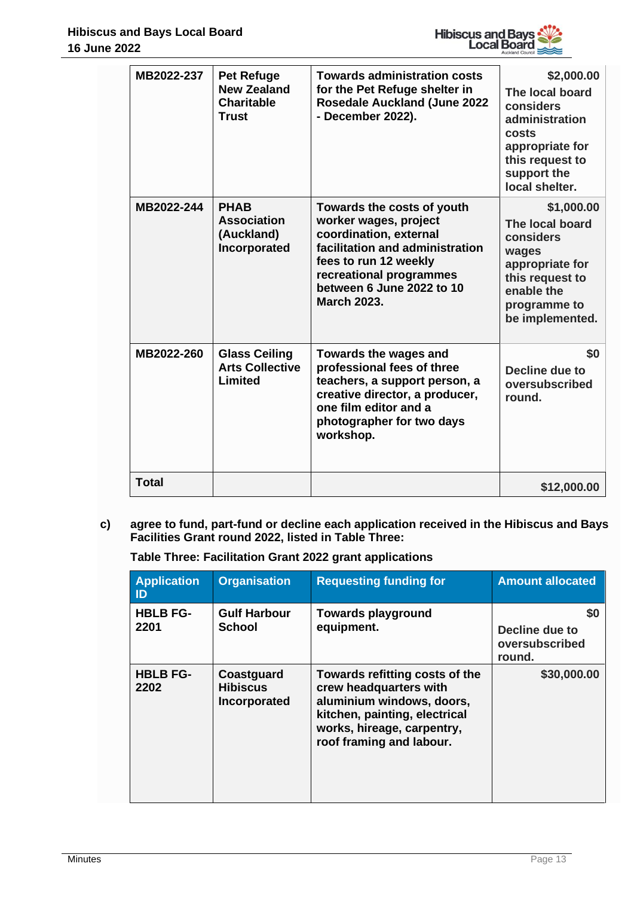

|  | MB2022-237   | <b>Pet Refuge</b><br><b>New Zealand</b><br><b>Charitable</b><br><b>Trust</b> | <b>Towards administration costs</b><br>for the Pet Refuge shelter in<br><b>Rosedale Auckland (June 2022</b><br>- December 2022).                                                                                        | \$2,000.00<br>The local board<br>considers<br>administration<br>costs<br>appropriate for<br>this request to<br>support the<br>local shelter. |
|--|--------------|------------------------------------------------------------------------------|-------------------------------------------------------------------------------------------------------------------------------------------------------------------------------------------------------------------------|----------------------------------------------------------------------------------------------------------------------------------------------|
|  | MB2022-244   | <b>PHAB</b><br><b>Association</b><br>(Auckland)<br>Incorporated              | Towards the costs of youth<br>worker wages, project<br>coordination, external<br>facilitation and administration<br>fees to run 12 weekly<br>recreational programmes<br>between 6 June 2022 to 10<br><b>March 2023.</b> | \$1,000.00<br>The local board<br>considers<br>wages<br>appropriate for<br>this request to<br>enable the<br>programme to<br>be implemented.   |
|  | MB2022-260   | <b>Glass Ceiling</b><br><b>Arts Collective</b><br>Limited                    | Towards the wages and<br>professional fees of three<br>teachers, a support person, a<br>creative director, a producer,<br>one film editor and a<br>photographer for two days<br>workshop.                               | \$0<br>Decline due to<br>oversubscribed<br>round.                                                                                            |
|  | <b>Total</b> |                                                                              |                                                                                                                                                                                                                         | \$12,000.00                                                                                                                                  |

**c) agree to fund, part-fund or decline each application received in the Hibiscus and Bays Facilities Grant round 2022, listed in Table Three:**

**Table Three: Facilitation Grant 2022 grant applications**

| <b>Application</b><br>ID | <b>Organisation</b>                           | <b>Requesting funding for</b>                                                                                                                                                    | <b>Amount allocated</b>                                 |
|--------------------------|-----------------------------------------------|----------------------------------------------------------------------------------------------------------------------------------------------------------------------------------|---------------------------------------------------------|
| <b>HBLB FG-</b><br>2201  | <b>Gulf Harbour</b><br><b>School</b>          | <b>Towards playground</b><br>equipment.                                                                                                                                          | <b>SO</b><br>Decline due to<br>oversubscribed<br>round. |
| <b>HBLB FG-</b><br>2202  | Coastguard<br><b>Hibiscus</b><br>Incorporated | Towards refitting costs of the<br>crew headquarters with<br>aluminium windows, doors,<br>kitchen, painting, electrical<br>works, hireage, carpentry,<br>roof framing and labour. | \$30,000.00                                             |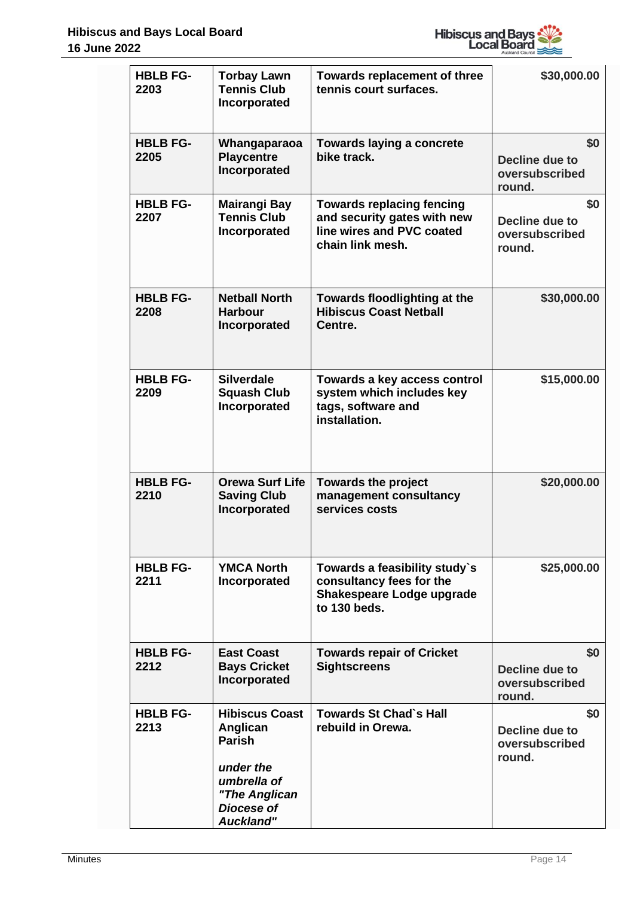

| <b>HBLB FG-</b><br>2203 | <b>Torbay Lawn</b><br><b>Tennis Club</b><br>Incorporated                                                                          | <b>Towards replacement of three</b><br>tennis court surfaces.                                                    | \$30,000.00                                              |
|-------------------------|-----------------------------------------------------------------------------------------------------------------------------------|------------------------------------------------------------------------------------------------------------------|----------------------------------------------------------|
| <b>HBLB FG-</b><br>2205 | Whangaparaoa<br><b>Playcentre</b><br>Incorporated                                                                                 | <b>Towards laying a concrete</b><br>bike track.                                                                  | \$0<br><b>Decline due to</b><br>oversubscribed<br>round. |
| <b>HBLB FG-</b><br>2207 | <b>Mairangi Bay</b><br><b>Tennis Club</b><br>Incorporated                                                                         | <b>Towards replacing fencing</b><br>and security gates with new<br>line wires and PVC coated<br>chain link mesh. | \$0<br>Decline due to<br>oversubscribed<br>round.        |
| <b>HBLB FG-</b><br>2208 | <b>Netball North</b><br><b>Harbour</b><br>Incorporated                                                                            | Towards floodlighting at the<br><b>Hibiscus Coast Netball</b><br>Centre.                                         | \$30,000.00                                              |
| <b>HBLB FG-</b><br>2209 | <b>Silverdale</b><br><b>Squash Club</b><br>Incorporated                                                                           | Towards a key access control<br>system which includes key<br>tags, software and<br>installation.                 | \$15,000.00                                              |
| <b>HBLB FG-</b><br>2210 | <b>Orewa Surf Life</b><br><b>Saving Club</b><br>Incorporated                                                                      | <b>Towards the project</b><br>management consultancy<br>services costs                                           | \$20,000.00                                              |
| <b>HBLB FG-</b><br>2211 | <b>YMCA North</b><br>Incorporated                                                                                                 | Towards a feasibility study's<br>consultancy fees for the<br>Shakespeare Lodge upgrade<br>to 130 beds.           | \$25,000.00                                              |
| <b>HBLB FG-</b><br>2212 | <b>East Coast</b><br><b>Bays Cricket</b><br>Incorporated                                                                          | <b>Towards repair of Cricket</b><br><b>Sightscreens</b>                                                          | \$0<br>Decline due to<br>oversubscribed<br>round.        |
| <b>HBLB FG-</b><br>2213 | <b>Hibiscus Coast</b><br>Anglican<br><b>Parish</b><br>under the<br>umbrella of<br>"The Anglican<br>Diocese of<br><b>Auckland"</b> | <b>Towards St Chad's Hall</b><br>rebuild in Orewa.                                                               | \$0<br><b>Decline due to</b><br>oversubscribed<br>round. |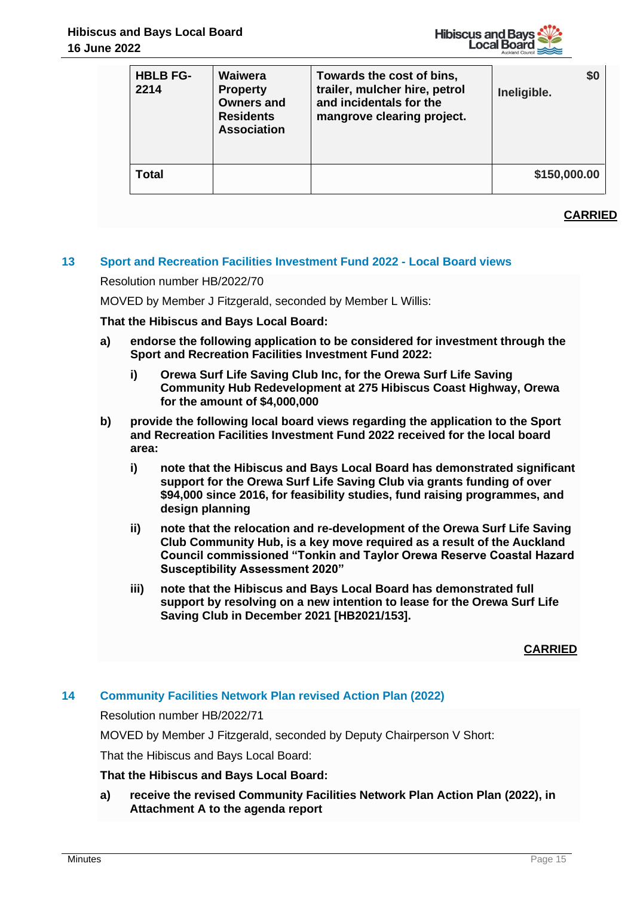

| <b>HBLB FG-</b><br>2214 | Waiwera<br><b>Property</b><br><b>Owners and</b><br><b>Residents</b><br><b>Association</b> | Towards the cost of bins,<br>trailer, mulcher hire, petrol<br>and incidentals for the<br>mangrove clearing project. | \$0<br>Ineligible. |
|-------------------------|-------------------------------------------------------------------------------------------|---------------------------------------------------------------------------------------------------------------------|--------------------|
| Total                   |                                                                                           |                                                                                                                     | \$150,000.00       |

# **CARRIED**

## **13 Sport and Recreation Facilities Investment Fund 2022 - Local Board views**

Resolution number HB/2022/70

MOVED by Member J Fitzgerald, seconded by Member L Willis:

**That the Hibiscus and Bays Local Board:**

- **a) endorse the following application to be considered for investment through the Sport and Recreation Facilities Investment Fund 2022:** 
	- **i) Orewa Surf Life Saving Club Inc, for the Orewa Surf Life Saving Community Hub Redevelopment at 275 Hibiscus Coast Highway, Orewa for the amount of \$4,000,000**
- **b) provide the following local board views regarding the application to the Sport and Recreation Facilities Investment Fund 2022 received for the local board area:**
	- **i) note that the Hibiscus and Bays Local Board has demonstrated significant support for the Orewa Surf Life Saving Club via grants funding of over \$94,000 since 2016, for feasibility studies, fund raising programmes, and design planning**
	- **ii) note that the relocation and re-development of the Orewa Surf Life Saving Club Community Hub, is a key move required as a result of the Auckland Council commissioned "Tonkin and Taylor Orewa Reserve Coastal Hazard Susceptibility Assessment 2020"**
	- **iii) note that the Hibiscus and Bays Local Board has demonstrated full support by resolving on a new intention to lease for the Orewa Surf Life Saving Club in December 2021 [HB2021/153].**

#### **CARRIED**

# **14 Community Facilities Network Plan revised Action Plan (2022)**

Resolution number HB/2022/71

MOVED by Member J Fitzgerald, seconded by Deputy Chairperson V Short:

That the Hibiscus and Bays Local Board:

#### **That the Hibiscus and Bays Local Board:**

**a) receive the revised Community Facilities Network Plan Action Plan (2022), in Attachment A to the agenda report**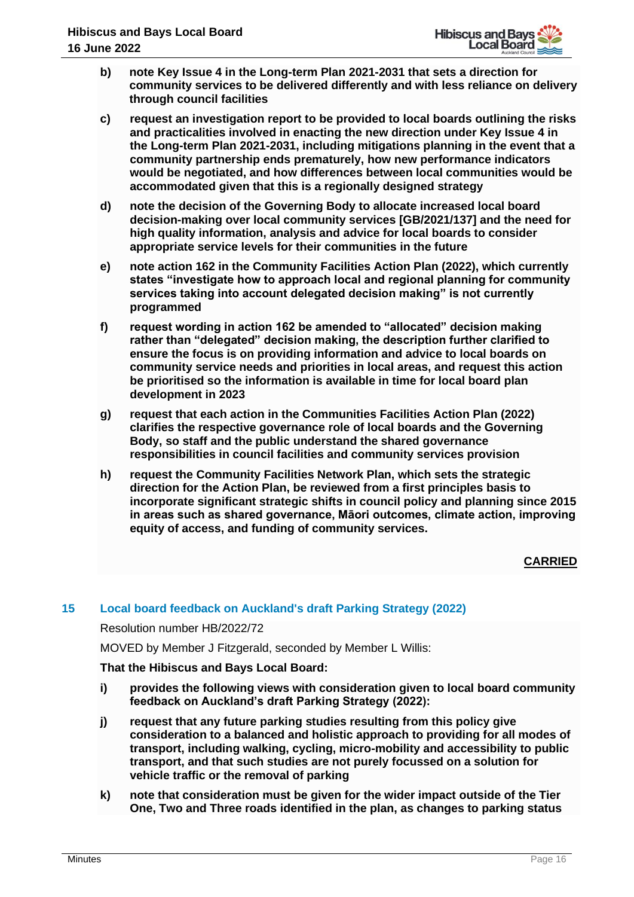- **b) note Key Issue 4 in the Long-term Plan 2021-2031 that sets a direction for community services to be delivered differently and with less reliance on delivery through council facilities**
- **c) request an investigation report to be provided to local boards outlining the risks and practicalities involved in enacting the new direction under Key Issue 4 in the Long-term Plan 2021-2031, including mitigations planning in the event that a community partnership ends prematurely, how new performance indicators would be negotiated, and how differences between local communities would be accommodated given that this is a regionally designed strategy**
- **d) note the decision of the Governing Body to allocate increased local board decision-making over local community services [GB/2021/137] and the need for high quality information, analysis and advice for local boards to consider appropriate service levels for their communities in the future**
- **e) note action 162 in the Community Facilities Action Plan (2022), which currently states "investigate how to approach local and regional planning for community services taking into account delegated decision making" is not currently programmed**
- **f) request wording in action 162 be amended to "allocated" decision making rather than "delegated" decision making, the description further clarified to ensure the focus is on providing information and advice to local boards on community service needs and priorities in local areas, and request this action be prioritised so the information is available in time for local board plan development in 2023**
- **g) request that each action in the Communities Facilities Action Plan (2022) clarifies the respective governance role of local boards and the Governing Body, so staff and the public understand the shared governance responsibilities in council facilities and community services provision**
- **h) request the Community Facilities Network Plan, which sets the strategic direction for the Action Plan, be reviewed from a first principles basis to incorporate significant strategic shifts in council policy and planning since 2015 in areas such as shared governance, Māori outcomes, climate action, improving equity of access, and funding of community services.**

# **CARRIED**

## **15 Local board feedback on Auckland's draft Parking Strategy (2022)**

Resolution number HB/2022/72

MOVED by Member J Fitzgerald, seconded by Member L Willis:

**That the Hibiscus and Bays Local Board:**

- **i) provides the following views with consideration given to local board community feedback on Auckland's draft Parking Strategy (2022):**
- **j) request that any future parking studies resulting from this policy give consideration to a balanced and holistic approach to providing for all modes of transport, including walking, cycling, micro-mobility and accessibility to public transport, and that such studies are not purely focussed on a solution for vehicle traffic or the removal of parking**
- **k) note that consideration must be given for the wider impact outside of the Tier One, Two and Three roads identified in the plan, as changes to parking status**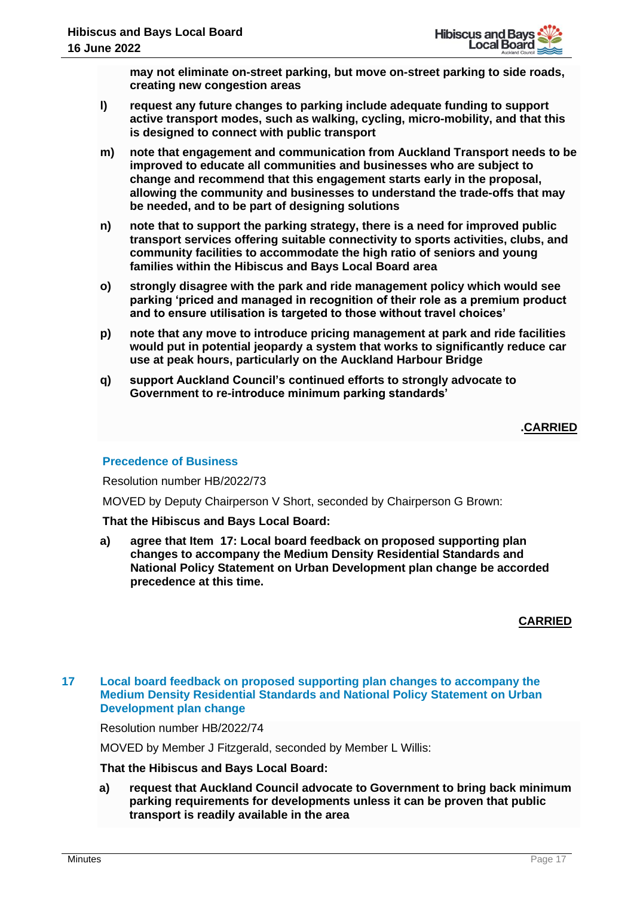**may not eliminate on-street parking, but move on-street parking to side roads, creating new congestion areas**

- **l) request any future changes to parking include adequate funding to support active transport modes, such as walking, cycling, micro-mobility, and that this is designed to connect with public transport**
- **m) note that engagement and communication from Auckland Transport needs to be improved to educate all communities and businesses who are subject to change and recommend that this engagement starts early in the proposal, allowing the community and businesses to understand the trade-offs that may be needed, and to be part of designing solutions**
- **n) note that to support the parking strategy, there is a need for improved public transport services offering suitable connectivity to sports activities, clubs, and community facilities to accommodate the high ratio of seniors and young families within the Hibiscus and Bays Local Board area**
- **o) strongly disagree with the park and ride management policy which would see parking 'priced and managed in recognition of their role as a premium product and to ensure utilisation is targeted to those without travel choices'**
- **p) note that any move to introduce pricing management at park and ride facilities would put in potential jeopardy a system that works to significantly reduce car use at peak hours, particularly on the Auckland Harbour Bridge**
- **q) support Auckland Council's continued efforts to strongly advocate to Government to re-introduce minimum parking standards'**

# **.CARRIED**

# **Precedence of Business**

Resolution number HB/2022/73

MOVED by Deputy Chairperson V Short, seconded by Chairperson G Brown:

## **That the Hibiscus and Bays Local Board:**

**a) agree that Item 17: Local board feedback on proposed supporting plan changes to accompany the Medium Density Residential Standards and National Policy Statement on Urban Development plan change be accorded precedence at this time.**

## **CARRIED**

## **17 Local board feedback on proposed supporting plan changes to accompany the Medium Density Residential Standards and National Policy Statement on Urban Development plan change**

Resolution number HB/2022/74

MOVED by Member J Fitzgerald, seconded by Member L Willis:

**That the Hibiscus and Bays Local Board:**

**a) request that Auckland Council advocate to Government to bring back minimum parking requirements for developments unless it can be proven that public transport is readily available in the area**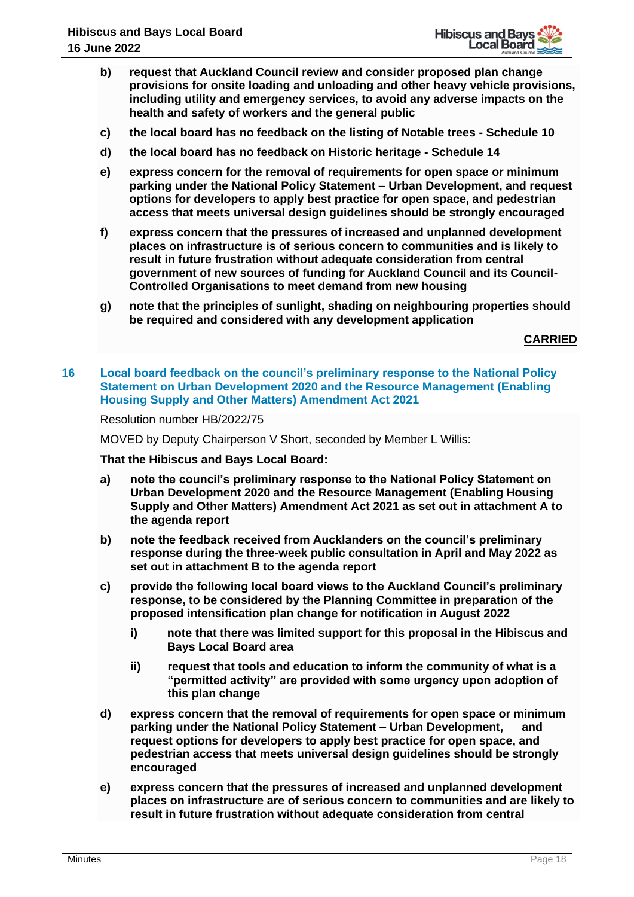- **b) request that Auckland Council review and consider proposed plan change provisions for onsite loading and unloading and other heavy vehicle provisions, including utility and emergency services, to avoid any adverse impacts on the health and safety of workers and the general public**
- **c) the local board has no feedback on the listing of Notable trees - Schedule 10**
- **d) the local board has no feedback on Historic heritage - Schedule 14**
- **e) express concern for the removal of requirements for open space or minimum parking under the National Policy Statement – Urban Development, and request options for developers to apply best practice for open space, and pedestrian access that meets universal design guidelines should be strongly encouraged**
- **f) express concern that the pressures of increased and unplanned development places on infrastructure is of serious concern to communities and is likely to result in future frustration without adequate consideration from central government of new sources of funding for Auckland Council and its Council-Controlled Organisations to meet demand from new housing**
- **g) note that the principles of sunlight, shading on neighbouring properties should be required and considered with any development application**

**CARRIED**

**16 Local board feedback on the council's preliminary response to the National Policy Statement on Urban Development 2020 and the Resource Management (Enabling Housing Supply and Other Matters) Amendment Act 2021**

Resolution number HB/2022/75

MOVED by Deputy Chairperson V Short, seconded by Member L Willis:

**That the Hibiscus and Bays Local Board:**

- **a) note the council's preliminary response to the National Policy Statement on Urban Development 2020 and the Resource Management (Enabling Housing Supply and Other Matters) Amendment Act 2021 as set out in attachment A to the agenda report**
- **b) note the feedback received from Aucklanders on the council's preliminary response during the three-week public consultation in April and May 2022 as set out in attachment B to the agenda report**
- **c) provide the following local board views to the Auckland Council's preliminary response, to be considered by the Planning Committee in preparation of the proposed intensification plan change for notification in August 2022**
	- **i) note that there was limited support for this proposal in the Hibiscus and Bays Local Board area**
	- **ii) request that tools and education to inform the community of what is a "permitted activity" are provided with some urgency upon adoption of this plan change**
- **d) express concern that the removal of requirements for open space or minimum parking under the National Policy Statement – Urban Development, and request options for developers to apply best practice for open space, and pedestrian access that meets universal design guidelines should be strongly encouraged**
- **e) express concern that the pressures of increased and unplanned development places on infrastructure are of serious concern to communities and are likely to result in future frustration without adequate consideration from central**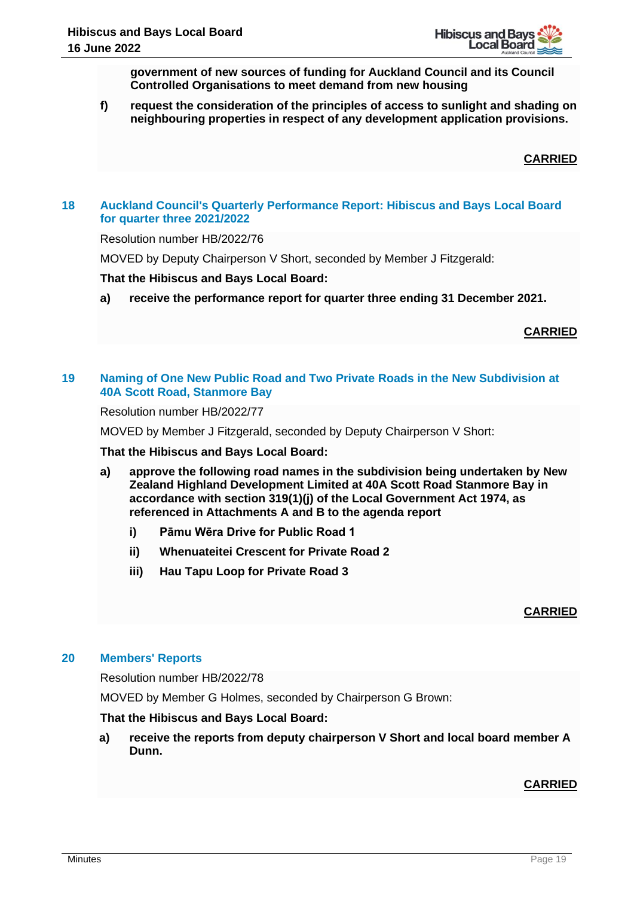**government of new sources of funding for Auckland Council and its Council Controlled Organisations to meet demand from new housing**

**f) request the consideration of the principles of access to sunlight and shading on neighbouring properties in respect of any development application provisions.**

**CARRIED**

# **18 Auckland Council's Quarterly Performance Report: Hibiscus and Bays Local Board for quarter three 2021/2022**

Resolution number HB/2022/76

MOVED by Deputy Chairperson V Short, seconded by Member J Fitzgerald:

## **That the Hibiscus and Bays Local Board:**

**a) receive the performance report for quarter three ending 31 December 2021.**

## **CARRIED**

## **19 Naming of One New Public Road and Two Private Roads in the New Subdivision at 40A Scott Road, Stanmore Bay**

Resolution number HB/2022/77

MOVED by Member J Fitzgerald, seconded by Deputy Chairperson V Short:

**That the Hibiscus and Bays Local Board:**

- **a) approve the following road names in the subdivision being undertaken by New Zealand Highland Development Limited at 40A Scott Road Stanmore Bay in accordance with section 319(1)(j) of the Local Government Act 1974, as referenced in Attachments A and B to the agenda report**
	- **i) Pāmu Wēra Drive for Public Road 1**
	- **ii) Whenuateitei Crescent for Private Road 2**
	- **iii) Hau Tapu Loop for Private Road 3**

## **CARRIED**

#### **20 Members' Reports**

Resolution number HB/2022/78

MOVED by Member G Holmes, seconded by Chairperson G Brown:

#### **That the Hibiscus and Bays Local Board:**

**a) receive the reports from deputy chairperson V Short and local board member A Dunn.**

## **CARRIED**